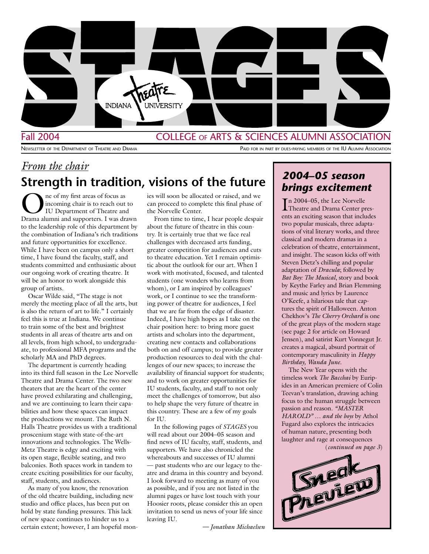

*From the chair*

#### Fall 2004 **COLLEGE OF ARTS & SCIENCES ALUMNI ASSOCIATION**

NEWSLETTER OF THE DEPARTMENT OF THEATRE AND DRAMA PAID FOR IN PART BY DUES-PAYING MEMBERS OF THE IU ALUMNI ASSOCIATION

# **Strength in tradition, visions of the future**

The of my first areas of focus as<br>incoming chair is to reach out<br>IU Department of Theatre and<br>Drama elumni and supporters. I was dra incoming chair is to reach out to IU Department of Theatre and Drama alumni and supporters. I was drawn to the leadership role of this department by the combination of Indiana's rich traditions and future opportunities for excellence. While I have been on campus only a short time, I have found the faculty, staff, and students committed and enthusiastic about our ongoing work of creating theatre. It will be an honor to work alongside this group of artists.

Oscar Wilde said, "The stage is not merely the meeting place of all the arts, but is also the return of art to life." I certainly feel this is true at Indiana. We continue to train some of the best and brightest students in all areas of theatre arts and on all levels, from high school, to undergraduate, to professional MFA programs and the scholarly MA and PhD degrees.

The department is currently heading into its third full season in the Lee Norvelle Theatre and Drama Center. The two new theaters that are the heart of the center have proved exhilarating and challenging, and we are continuing to learn their capabilities and how these spaces can impact the productions we mount. The Ruth N. Halls Theatre provides us with a traditional proscenium stage with state-of-the-art innovations and technologies. The Wells-Metz Theatre is edgy and exciting with its open stage, flexible seating, and two balconies. Both spaces work in tandem to create exciting possibilities for our faculty, staff, students, and audiences.

As many of you know, the renovation of the old theatre building, including new studio and office places, has been put on hold by state funding pressures. This lack of new space continues to hinder us to a certain extent; however, I am hopeful monies will soon be allocated or raised, and we can proceed to complete this final phase of the Norvelle Center.

From time to time, I hear people despair about the future of theatre in this country. It is certainly true that we face real challenges with decreased arts funding, greater competition for audiences and cuts to theatre education. Yet I remain optimistic about the outlook for our art. When I work with motivated, focused, and talented students (one wonders who learns from whom), or I am inspired by colleagues' work, or I continue to see the transforming power of theatre for audiences, I feel that we are far from the edge of disaster. Indeed, I have high hopes as I take on the chair position here: to bring more guest artists and scholars into the department, creating new contacts and collaborations both on and off campus; to provide greater production resources to deal with the challenges of our new spaces; to increase the availability of financial support for students; and to work on greater opportunities for IU students, faculty, and staff to not only meet the challenges of tomorrow, but also to help shape the very future of theatre in this country. These are a few of my goals for IU.

In the following pages of *STAGES* you will read about our 2004–05 season and find news of IU faculty, staff, students, and supporters. We have also chronicled the whereabouts and successes of IU alumni — past students who are our legacy to theatre and drama in this country and beyond. I look forward to meeting as many of you as possible, and if you are not listed in the alumni pages or have lost touch with your Hoosier roots, please consider this an open invitation to send us news of your life since leaving IU.

#### *— Jonathan Michaelsen*

### *2004–05 season brings excitement*

I n 2004–05, the Lee Norvelle Theatre and Drama Center presents an exciting season that includes two popular musicals, three adaptations of vital literary works, and three classical and modern dramas in a celebration of theatre, entertainment, and insight. The season kicks off with Steven Dietz's chilling and popular adaptation of *Dracula*; followed by *Bat Boy: The Musical*, story and book by Keythe Farley and Brian Flemming and music and lyrics by Laurence O'Keefe, a hilarious tale that captures the spirit of Halloween. Anton Chekhov's *The Cherry Orchard* is one of the great plays of the modern stage (see page 2 for article on Howard Jensen), and satirist Kurt Vonnegut Jr. creates a magical, absurd portrait of contemporary masculinity in *Happy Birthday, Wanda June.*

The New Year opens with the timeless work *The Bacchai* by Euripides in an American premiere of Colin Teevan's translation, drawing aching focus to the human struggle between passion and reason. *"MASTER HAROLD" … and the boys* by Athol Fugard also explores the intricacies of human nature, presenting both laughter and rage at consequences (*continued on page 3*)

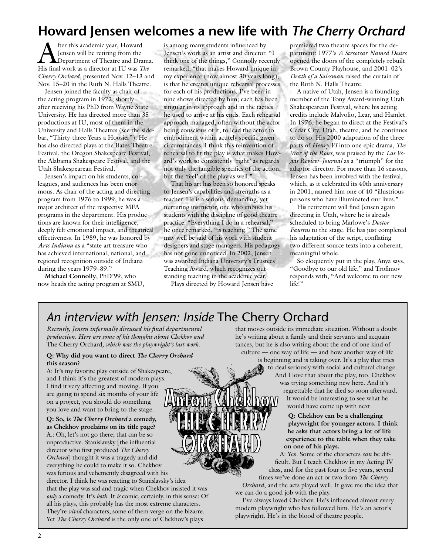## **Howard Jensen welcomes a new life with** *The Cherry Orchard*

fter this academic year, Howard Jensen will be retiring from the **IDepartment of Theatre and Drama.** His final work as a director at IU was *The Cherry Orchard*, presented Nov. 12–13 and Nov. 15–20 in the Ruth N. Halls Theatre.

Jensen joined the faculty as chair of the acting program in 1972, shortly after receiving his PhD from Wayne State University. He has directed more than 35 productions at IU, most of them in the University and Halls Theatres (see the sidebar, "Thirty-three Years a Hoosier"). He has also directed plays at the Bates Theatre Festival, the Oregon Shakespeare Festival, the Alabama Shakespeare Festival, and the Utah Shakespearean Festival.

Jensen's impact on his students, colleagues, and audiences has been enormous. As chair of the acting and directing program from 1976 to 1999, he was a major architect of the respective MFA programs in the department. His productions are known for their intelligence, deeply felt emotional impact, and theatrical effectiveness. In 1989, he was honored by *Arts Indiana* as a "state art treasure who has achieved international, national, and regional recognition outside of Indiana during the years 1979–89."

**Michael Connolly**, PhD'99, who now heads the acting program at SMU,

is among many students influenced by Jensen's work as an artist and director. "I think one of the things," Connolly recently remarked, "that makes Howard unique in my experience (now almost 30 years long), is that he creates unique rehearsal processes for each of his productions. I've been in nine shows directed by him; each has been singular in its approach and in the tactics he used to arrive at his ends. Each rehearsal approach managed, often without the actor being conscious of it, to lead the actor to embodiment within acutely specific given circumstances. I think this reinvention of rehearsal to fit the play is what makes Howard's work so consistently 'right' as regards not only the tangible specifics of the action, but the 'feel' of the play as well."

That his art has been so honored speaks to Jensen's capabilities and strengths as a teacher. He is a serious, demanding, yet nurturing instructor, one who imbues his students with the discipline of good theatre practice. "Everything I do in a rehearsal," he once remarked, "is teaching." The same may well be said of his work with student designers and stage managers. His pedagogy has not gone unnoticed: In 2002, Jensen was awarded Indiana University's Trustees' Teaching Award, which recognizes outstanding teaching in the academic year.

Plays directed by Howard Jensen have

premiered two theatre spaces for the department: 1977's *A Streetcar Named Desire* opened the doors of the completely rebuilt Brown County Playhouse, and 2001–02's *Death of a Salesman* raised the curtain of the Ruth N. Halls Theatre.

A native of Utah, Jensen is a founding member of the Tony Award-winning Utah Shakespearean Festival, where his acting credits include Malvolio, Lear, and Hamlet. In 1976, he began to direct at the Festival's Cedar City, Utah, theatre, and he continues to do so. His 2000 adaptation of the three parts of *Henry VI* into one epic drama, *The War of the Roses*, was praised by the *Las Vegas Review–Journal* as a "triumph" for the adaptor-director. For more than 16 seasons, Jensen has been involved with the festival, which, as it celebrated its 40th anniversary in 2001, named him one of 40 "illustrious persons who have illuminated our lives."

His retirement will find Jensen again directing in Utah, where he is already scheduled to bring Marlowe's *Doctor Faustus* to the stage. He has just completed his adaptation of the script, conflating two different source texts into a coherent, meaningful whole.

So eloquently put in the play, Anya says, "Goodbye to our old life," and Trofimov responds with, "And welcome to our new life!"

## *An interview with Jensen: Inside* The Cherry Orchard

*Recently, Jensen informally discussed his final departmental production. Here are some of his thoughts about Chekhov and*  The Cherry Orchard*, which was the playwright's last work.*

#### **Q: Why did you want to direct** *The Cherry Orchard* **this season?**

A: It's my favorite play outside of Shakespeare, and I think it's the greatest of modern plays. I find it very affecting and moving. If you are going to spend six months of your life on a project, you should do something you love and want to bring to the stage.

**Q: So, is** *The Cherry Orchard* **a comedy, as Chekhov proclaims on its title page?** A.: Oh, let's not go there; that can be so unproductive. Stanislavsky [the influential director who first produced *The Cherry Orchard*] thought it was a tragedy and did everything he could to make it so. Chekhov was furious and vehemently disagreed with his director. I think he was reacting to Stanislavsky's idea that the play was sad and tragic when Chekhov insisted it was *only* a comedy. It's *both*. It *is* comic, certainly, in this sense: Of all his plays, this probably has the most extreme characters. They're *vivid* characters; some of them verge on the bizarre. Yet *The Cherry Orchard* is the only one of Chekhov's plays

that moves outside its immediate situation. Without a doubt he's writing about a family and their servants and acquaintances, but he is also writing about the end of one kind of culture — one way of life — and how another way of life

is beginning and is taking over. It's a play that tries to deal seriously with social and cultural change. And I love that about the play, too. Chekhov was trying something new here. And it's regrettable that he died so soon afterward. It would be interesting to see what he would have come up with next.

> **Q: Chekhov can be a challenging playwright for younger actors. I think he asks that actors bring a lot of life experience to the table when they take on one of his plays.**

A: Yes. Some of the characters *can* be difficult. But I teach Chekhov in my Acting IV class, and for the past four or five years, several times we've done an act or two from *The Cherry* 

*Orchard*, and the acts played well. It gave me the idea that we can do a good job with the play.

I've always loved Chekhov. He's influenced almost every modern playwright who has followed him. He's an actor's playwright. He's in the blood of theatre people.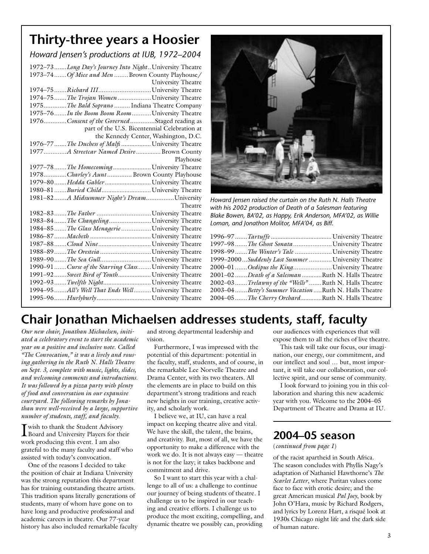## **Thirty-three years a Hoosier**

*Howard Jensen's productions at IUB, 1972–2004* 1972–73 .......*Long Day's Journey Into Night* ..University Theatre 1973–74 .......*Of Mice and Men* ........Brown County Playhouse/ University Theatre 1974–75 .......*Richard III* ..............................University Theatre 1974–75 .......*The Trojan Women* ...................University Theatre 1975.............*The Bald Soprano* ......... Indiana Theatre Company 1975–76 .......*In the Boom Boom Room* ...........University Theatre 1976.............*Consent of the Governed* ..............Staged reading as part of the U.S. Bicentennial Celebration at the Kennedy Center, Washington, D.C. 1976–77 .......*The Duchess of Malfi ..................* University Theatre 1977.............*A Streetcar Named Desire ...............*Brown County Playhouse 1977–78 .......*The Homecoming .......................* University Theatre 1978.............*Charley's Aunt* .............. Brown County Playhouse 1979–80 .......*Hedda Gabler ............................* University Theatre 1980–81 .......*Buried Child ..............................* University Theatre 1981–82 .......*A Midsummer Night's Dream* ................University Theatre 1982–83 .......*The Father* ...............................University Theatre 1983–84 .......*The Changeling* ........................University Theatre 1984–85 .......*The Glass Menagerie* .................University Theatre 1986–87 .......*Macbeth .....................................* University Theatre 1987–88 .......*Cloud Nine ................................* University Theatre 1988–89 .......*The Oresteia* .............................University Theatre 1989–90 .......*The Sea Gull* .............................University Theatre 1990–91 .......*Curse of the Starving Class* ........University Theatre 1991–92 .......*Sweet Bird of Youth ....................* University Theatre 1992–93 .......*Twelfth Night .............................* University Theatre 1994–95 .......*All's Well That Ends Well* ..........University Theatre 1995–96 .......*Hurlyburly .................................* University Theatre



*Howard Jensen raised the curtain on the Ruth N. Halls Theatre with his 2002 production of Death of a Salesman featuring Blake Bowen, BA'02, as Happy, Erik Anderson, MFA'02, as Willie Loman, and Jonathon Molitor, MFA'04, as Biff.*

|  | 1997–98 <i>The Ghost Sonata</i> University Theatre       |
|--|----------------------------------------------------------|
|  | 1998–99 <i>The Winter's Tale</i> University Theatre      |
|  | 1999-2000Suddenly Last Summer  University Theatre        |
|  | 2000–01 Oedipus the KingUniversity Theatre               |
|  | 2001-02Death of a Salesman Ruth N. Halls Theatre         |
|  | 2002–03Trelawny of the "Wells"Ruth N. Halls Theatre      |
|  | 2003-04Betty's Summer Vacation Ruth N. Halls Theatre     |
|  | 2004–05 <i>The Cherry Orchard</i> .Ruth N. Halls Theatre |
|  |                                                          |

## **Chair Jonathan Michaelsen addresses students, staff, faculty**

*Our new chair, Jonathan Michaelsen, initiated a celebratory event to start the academic year on a positive and inclusive note. Called "The Convocation," it was a lively and rousing gathering in the Ruth N. Halls Theatre on Sept. 3, complete with music, lights, slides, and welcoming comments and introductions. It was followed by a pizza party with plenty of food and conversation in our expansive courtyard. The following remarks by Jonathan were well-received by a large, supportive number of students, staff, and faculty.*

I wish to thank the Student Advisory Board and University Players for their work producing this event. I am also grateful to the many faculty and staff who assisted with today's convocation.

One of the reasons I decided to take the position of chair at Indiana University was the strong reputation this department has for training outstanding theatre artists. This tradition spans literally generations of students, many of whom have gone on to have long and productive professional and academic careers in theatre. Our 77-year history has also included remarkable faculty

and strong departmental leadership and vision.

Furthermore, I was impressed with the potential of this department: potential in the faculty, staff, students, and of course, in the remarkable Lee Norvelle Theatre and Drama Center, with its two theaters. All the elements are in place to build on this department's strong traditions and reach new heights in our training, creative activity, and scholarly work.

I believe we, at IU, can have a real impact on keeping theatre alive and vital. We have the skill, the talent, the brains, and creativity. But, most of all, we have the opportunity to make a difference with the work we do. It is not always easy — theatre is not for the lazy; it takes backbone and commitment and drive.

So I want to start this year with a challenge to all of us: a challenge to continue our journey of being students of theatre. I challenge us to be inspired in our teaching and creative efforts. I challenge us to produce the most exciting, compelling, and dynamic theatre we possibly can, providing

our audiences with experiences that will expose them to all the riches of live theatre.

This task will take our focus, our imagination, our energy, our commitment, and our intellect and soul … but, most important, it will take our collaboration, our collective spirit, and our sense of community.

I look forward to joining you in this collaboration and sharing this new academic year with you. Welcome to the 2004–05 Department of Theatre and Drama at IU.

### **2004–05 season**

#### (*continued from page 1*)

of the racist apartheid in South Africa. The season concludes with Phyllis Nagy's adaptation of Nathaniel Hawthorne's *The Scarlet Letter*, where Puritan values come face to face with erotic desire; and the great American musical *Pal Joey*, book by John O'Hara, music by Richard Rodgers, and lyrics by Lorenz Hart, a risqué look at 1930s Chicago night life and the dark side of human nature.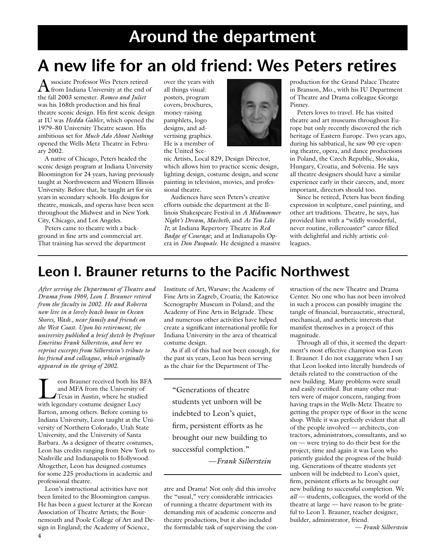# **Around the department**

# **A new life for an old friend: Wes Peters retires**

Associate Professor Wes Peters retired from Indiana University at the end of the fall 2003 semester. *Romeo and Juliet* was his 168th production and his final theatre scenic design. His first scenic design at IU was *Hedda Gabler*, which opened the 1979–80 University Theatre season. His ambitious set for *Much Ado About Nothing* opened the Wells-Metz Theatre in February 2002.

A native of Chicago, Peters headed the scenic design program at Indiana University Bloomington for 24 years, having previously taught at Northwestern and Western Illinois University. Before that, he taught art for six years in secondary schools. His designs for theatre, musicals, and operas have been seen throughout the Midwest and in New York City, Chicago, and Los Angeles.

Peters came to theatre with a background in fine arts and commercial art. That training has served the department

over the years with all things visual: posters, program covers, brochures, money-raising pamphlets, logo designs, and advertising graphics. He is a member of the United Sce-

nic Artists, Local 829, Design Director, which allows him to practice scenic design, lighting design, costume design, and scene painting in television, movies, and professional theatre.

Audiences have seen Peters's creative efforts outside the department at the Illinois Shakespeare Festival in *A Midsummer Night's Dream*, *Macbeth*, and *As You Like It*; at Indiana Repertory Theatre in *Red Badge of Courage*; and at Indianapolis Opera in *Don Pasquale*. He designed a massive

production for the Grand Palace Theatre in Branson, Mo., with his IU Department of Theatre and Drama colleague George Pinney.

Peters loves to travel. He has visited theatre and art museums throughout Europe but only recently discovered the rich heritage of Eastern Europe. Two years ago, during his sabbatical, he saw 90 eye-opening theatre, opera, and dance productions in Poland, the Czech Republic, Slovakia, Hungary, Croatia, and Solvenia. He says all theatre designers should have a similar experience early in their careers, and, more important, directors should too.

Since he retired, Peters has been finding expression in sculpture, easel painting, and other art traditions. Theatre, he says, has provided him with a "wildly wonderful, never routine, rollercoaster" career filled with delightful and richly artistic colleagues.

## **Leon I. Brauner returns to the Pacific Northwest**

*After serving the Department of Theatre and Drama from 1969, Leon I. Brauner retired from the faculty in 2002. He and Roberta now live in a lovely beach house in Ocean Shores, Wash., near family and friends on the West Coast. Upon his retirement, the university published a brief sketch by Professor Emeritus Frank Silberstein, and here we reprint excerpts from Silberstein's tribute to his friend and colleague, which originally appeared in the spring of 2002.*

FR and MFA from the University of<br>Texas in Austin, where he studied<br>with legandary costume designer I way and MFA from the University of with legendary costume designer Lucy Barton, among others. Before coming to Indiana University, Leon taught at the University of Northern Colorado, Utah State University, and the University of Santa Barbara. As a designer of theatre costumes, Leon has credits ranging from New York to Nashville and Indianapolis to Hollywood. Altogether, Leon has designed costumes for some 225 productions in academic and professional theatre.

Leon's instructional activities have not been limited to the Bloomington campus. He has been a guest lecturer at the Korean Association of Theatre Artists; the Bournemouth and Poole College of Art and Design in England; the Academy of Science,

Institute of Art, Warsaw; the Academy of Fine Arts in Zagreb, Croatia; the Katowice Scenography Museum in Poland; and the Academy of Fine Arts in Belgrade. These and numerous other activities have helped create a significant international profile for Indiana University in the area of theatrical costume design.

As if all of this had not been enough, for the past six years, Leon has been serving as the chair for the Department of The-

"Generations of theatre students yet unborn will be indebted to Leon's quiet, firm, persistent efforts as he brought our new building to successful completion."

—*Frank Silberstein*

atre and Drama! Not only did this involve the "usual," very considerable intricacies of running a theatre department with its demanding mix of academic concerns and theatre productions, but it also included the formidable task of supervising the con-

struction of the new Theatre and Drama Center. No one who has not been involved in such a process can possibly imagine the tangle of financial, bureaucratic, structural, mechanical, and aesthetic interests that manifest themselves in a project of this magnitude.

Through all of this, it seemed the department's most effective champion was Leon I. Brauner. I do not exaggerate when I say that Leon looked into literally hundreds of details related to the construction of the new building. Many problems were small and easily rectified. But many other matters were of major concern, ranging from having traps in the Wells-Metz Theatre to getting the proper type of floor in the scene shop. While it was perfectly evident that all of the people involved — architects, contractors, administrators, consultants, and so on — were trying to do their best for the project, time and again it was Leon who patiently guided the progress of the building. Generations of theatre students yet unborn will be indebted to Leon's quiet, firm, persistent efforts as he brought our new building to successful completion. We *all* — students, colleagues, the world of the theatre at large — have reason to be grateful to Leon I. Brauner, teacher designer, builder, administrator, friend.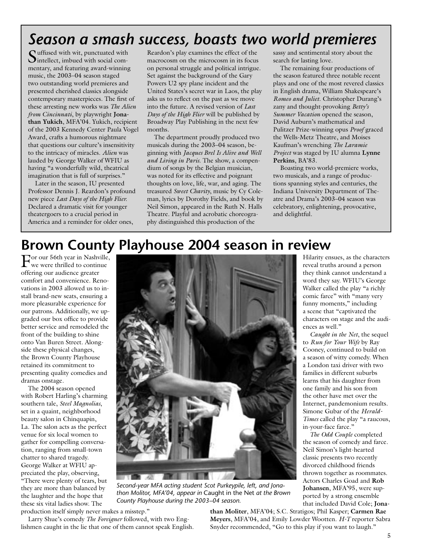## *Season a smash success, boasts two world premieres*

Suffused with wit, punctuated with Sintellect, imbued with social commentary, and featuring award-winning music, the 2003–04 season staged two outstanding world premieres and presented cherished classics alongside contemporary masterpieces. The first of these arresting new works was *The Alien from Cincinnati*, by playwright **Jonathan Yukich**, MFA'04*.* Yukich, recipient of the 2003 Kennedy Center Paula Vogel Award, crafts a humorous nightmare that questions our culture's insensitivity to the intricacy of miracles. *Alien* was lauded by George Walker of WFIU as having "a wonderfully wild, theatrical imagination that is full of surprises."

Later in the season, IU presented Professor Dennis J. Reardon's profound new piece *Last Days of the High Flier.* Declared a dramatic visit for younger theatergoers to a crucial period in America and a reminder for older ones,

Reardon's play examines the effect of the macrocosm on the microcosm in its focus on personal struggle and political intrigue. Set against the background of the Gary Powers U2 spy plane incident and the United States's secret war in Laos, the play asks us to reflect on the past as we move into the future. A revised version of *Last Days of the High Flier* will be published by Broadway Play Publishing in the next few months.

The department proudly produced two musicals during the 2003–04 season, beginning with *Jacques Brel Is Alive and Well and Living in Paris*. The show, a compendium of songs by the Belgian musician, was noted for its effective and poignant thoughts on love, life, war, and aging. The treasured *Sweet Charity*, music by Cy Coleman, lyrics by Dorothy Fields, and book by Neil Simon, appeared in the Ruth N. Halls Theatre. Playful and acrobatic choreography distinguished this production of the

sassy and sentimental story about the search for lasting love.

The remaining four productions of the season featured three notable recent plays and one of the most revered classics in English drama, William Shakespeare's *Romeo and Juliet*. Christopher Durang's zany and thought-provoking *Betty's Summer Vacation* opened the season, David Auburn's mathematical and Pulitzer Prize-winning opus *Proof* graced the Wells-Metz Theatre, and Moises Kaufman's wrenching *The Laramie Project* was staged by IU alumna **Lynne Perkins**, BA'83.

Boasting two world-premiere works, two musicals, and a range of productions spanning styles and centuries, the Indiana University Department of Theatre and Drama's 2003–04 season was celebratory, enlightening, provocative, and delightful.

## **Brown County Playhouse 2004 season in review**

For our 56th year in Nashville, we were thrilled to continue offering our audience greater comfort and convenience. Renovations in 2003 allowed us to install brand-new seats, ensuring a more pleasurable experience for our patrons. Additionally, we upgraded our box office to provide better service and remodeled the front of the building to shine onto Van Buren Street. Alongside these physical changes, the Brown County Playhouse retained its commitment to presenting quality comedies and dramas onstage.

The 2004 season opened with Robert Harling's charming southern tale, *Steel Magnolias*, set in a quaint, neighborhood beauty salon in Chinquapin, La. The salon acts as the perfect venue for six local women to gather for compelling conversation, ranging from small-town chatter to shared tragedy. George Walker at WFIU appreciated the play, observing, "There were plenty of tears, but they are more than balanced by the laughter and the hope that these six vital ladies show. The



*Second-year MFA acting student Scot Purkeypile, left, and Jonathon Molitor, MFA'04, appear in* Caught in the Net *at the Brown County Playhouse during the 2003–04 season.*

production itself simply never makes a misstep."

Larry Shue's comedy *The Foreigner* followed, with two Englishmen caught in the lie that one of them cannot speak English. **than Moliter**, MFA'04; S.C. Stratigos; Phil Kasper; **Carmen Rae Meyers**, MFA'04, and Emily Lowder Wootten. *H-T* reporter Sabra Snyder recommended, "Go to this play if you want to laugh."

Hilarity ensues, as the characters reveal truths around a person they think cannot understand a word they say. WFIU's George Walker called the play "a richly comic farce" with "many very funny moments," including a scene that "captivated the characters on stage and the audiences as well."

*Caught in the Net*, the sequel to *Run for Your Wife* by Ray Cooney, continued to build on a season of witty comedy. When a London taxi driver with two families in different suburbs learns that his daughter from one family and his son from the other have met over the Internet, pandemonium results. Simone Gubar of the *Herald-Times* called the play "a raucous, in-your-face farce."

*The Odd Couple* completed the season of comedy and farce. Neil Simon's light-hearted classic presents two recently divorced childhood friends thrown together as roommates. Actors Charles Goad and **Rob Johansen**, MFA'95, were supported by a strong ensemble that included David Cole; **Jona-**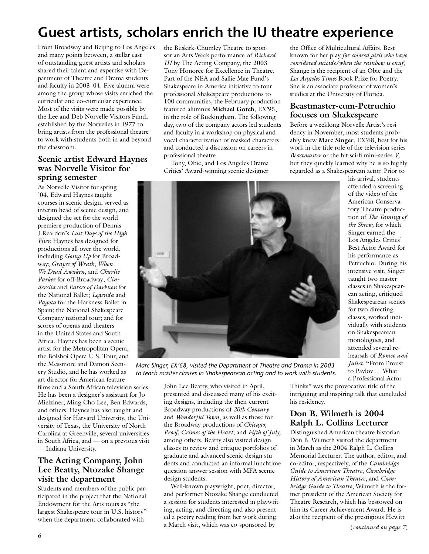## **Guest artists, scholars enrich the IU theatre experience**

From Broadway and Beijing to Los Angeles and many points between, a stellar cast of outstanding guest artists and scholars shared their talent and expertise with Department of Theatre and Drama students and faculty in 2003–04. Five alumni were among the group whose visits enriched the curricular and co-curricular experience. Most of the visits were made possible by the Lee and Deb Norvelle Visitors Fund, established by the Norvelles in 1977 to bring artists from the professional theatre to work with students both in and beyond the classroom.

#### **Scenic artist Edward Haynes was Norvelle Visitor for spring semester**

As Norvelle Visitor for spring '04, Edward Haynes taught courses in scenic design, served as interim head of scenic design, and designed the set for the world premiere production of Dennis J.Reardon's *Last Days of the High Flier.* Haynes has designed for productions all over the world, including *Going Up* for Broadway; *Grapes of Wrath*, *When We Dead Awaken*, and *Charlie Parker* for off-Broadway; *Cinderella* and *Eaters of Darkness* for the National Ballet; *Legenda* and *Pagota* for the Harkness Ballet in Spain; the National Shakespeare Company national tour; and for scores of operas and theaters in the United States and South Africa. Haynes has been a scenic artist for the Metropolitan Opera, the Bolshoi Opera U.S. Tour, and the Messmore and Damon Scenery Studio, and he has worked as art director for American feature

films and a South African television series. He has been a designer's assistant for Jo Mielziner, Ming Cho Lee, Ben Edwards, and others. Haynes has also taught and designed for Harvard University, the University of Texas, the University of North Carolina at Greenville, several universities in South Africa, and — on a previous visit — Indiana University.

#### **The Acting Company, John Lee Beatty, Ntozake Shange visit the department**

Students and members of the public participated in the project that the National Endowment for the Arts touts as "the largest Shakespeare tour in U.S. history" when the department collaborated with

the Buskirk-Chumley Theatre to sponsor an Arts Week performance of *Richard III* by The Acting Company, the 2003 Tony Honoree for Excellence in Theatre. Part of the NEA and Sallie Mae Fund's Shakespeare in America initiative to tour professional Shakespeare productions to 100 communities, the February production featured alumnus **Michael Gotch**, EX'95, in the role of Buckingham. The following day, two of the company actors led students and faculty in a workshop on physical and vocal characterization of masked characters and conducted a discussion on careers in professional theatre.

Tony, Obie, and Los Angeles Drama Critics' Award-winning scenic designer

the Office of Multicultural Affairs. Best known for her play *for colored girls who have considered suicide/when the rainbow is enuf*, Shange is the recipient of an Obie and the *Los Angeles Times* Book Prize for Poetry. She is an associate professor of women's studies at the University of Florida.

#### **Beastmaster-cum-Petruchio focuses on Shakespeare**

Before a weeklong Norvelle Artist's residency in November, most students probably knew **Marc Singer**, EX'68, best for his work in the title role of the television series *Beastmaster* or the hit sci-fi mini-series *V,*  but they quickly learned why he is so highly regarded as a Shakespearean actor. Prior to

his arrival, students attended a screening of the video of the American Conservatory Theatre production of *The Taming of the Shrew,* for which Singer earned the Los Angeles Critics' Best Actor Award for his performance as Petruchio. During his intensive visit, Singer taught two master classes in Shakespearean acting, critiqued Shakespearean scenes for two directing classes, worked individually with students on Shakespearean monologues, and attended several rehearsals of *Romeo and Juliet.* "From Proust to Pavlov … What a Professional Actor

*Marc Singer, EX'68, visited the Department of Theatre and Drama in 2003 to teach master classes in Shakespearean acting and to work with students.*

John Lee Beatty, who visited in April, presented and discussed many of his exciting designs, including the then-current Broadway productions of *20th Century* and *Wonderful Town*, as well as those for the Broadway productions of *Chicago, Proof, Crimes of the Heart*, and *Fifth of July,* among others. Beatty also visited design classes to review and critique portfolios of graduate and advanced scenic-design students and conducted an informal lunchtime question-answer session with MFA scenicdesign students.

Well-known playwright, poet, director, and performer Ntozake Shange conducted a session for students interested in playwriting, acting, and directing and also presented a poetry reading from her work during a March visit, which was co-sponsored by

Thinks" was the provocative title of the intriguing and inspiring talk that concluded his residency.

#### **Don B. Wilmeth is 2004 Ralph L. Collins Lecturer**

Distinguished American theatre historian Don B. Wilmeth visited the department in March as the 2004 Ralph L. Collins Memorial Lecturer. The author, editor, and co-editor, respectively, of the *Cambridge Guide to American Theatre*, *Cambridge History of American Theatre*, and *Cambridge Guide to Theatre*, Wilmeth is the former president of the American Society for Theatre Research, which has bestowed on him its Career Achievement Award. He is also the recipient of the prestigious Hewitt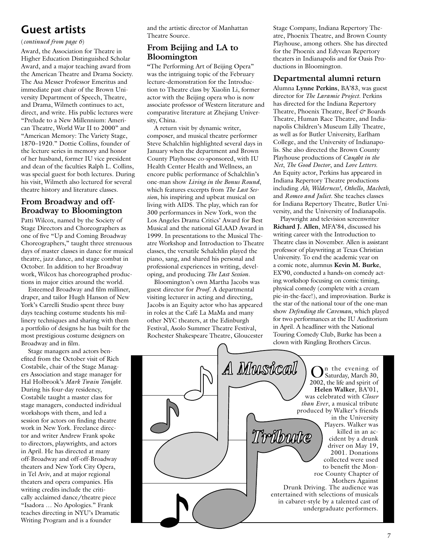### **Guest artists**

#### (*continued from page 6*)

Award, the Association for Theatre in Higher Education Distinguished Scholar Award, and a major teaching award from the American Theatre and Drama Society. The Asa Messer Professor Emeritus and immediate past chair of the Brown University Department of Speech, Theatre, and Drama, Wilmeth continues to act, direct, and write. His public lectures were "Prelude to a New Millennium: American Theatre, World War II to 2000" and "American Memory: The Variety Stage, 1870–1920." Dottie Collins, founder of the lecture series in memory and honor of her husband, former IU vice president and dean of the faculties Ralph L. Collins, was special guest for both lectures. During his visit, Wilmeth also lectured for several theatre history and literature classes.

#### **From Broadway and off-Broadway to Bloomington**

Patti Wilcox, named by the Society of Stage Directors and Choreographers as one of five "Up and Coming Broadway Choreographers," taught three strenuous days of master classes in dance for musical theatre, jazz dance, and stage combat in October. In addition to her Broadway work, Wilcox has choreographed productions in major cities around the world.

Esteemed Broadway and film milliner, draper, and tailor Hugh Hanson of New York's Carrelli Studio spent three busy days teaching costume students his millinery techniques and sharing with them a portfolio of designs he has built for the most prestigious costume designers on Broadway and in film.

Stage managers and actors benefited from the October visit of Rich Costabile, chair of the Stage Managers Association and stage manager for Hal Holbrook's *Mark Twain Tonight*. During his four-day residency, Costabile taught a master class for stage managers, conducted individual workshops with them, and led a session for actors on finding theatre work in New York. Freelance director and writer Andrew Frank spoke to directors, playwrights, and actors in April. He has directed at many off-Broadway and off-off-Broadway theaters and New York City Opera, in Tel Aviv, and at major regional theaters and opera companies. His writing credits include the critically acclaimed dance/theatre piece "Isadora … No Apologies." Frank teaches directing in NYU's Dramatic Writing Program and is a founder

and the artistic director of Manhattan Theatre Source.

#### **From Beijing and LA to Bloomington**

**"**The Performing Art of Beijing Opera" was the intriguing topic of the February lecture-demonstration for the Introduction to Theatre class by Xiaolin Li, former actor with the Beijing opera who is now associate professor of Western literature and comparative literature at Zhejiang University, China.

A return visit by dynamic writer, composer, and musical theatre performer Steve Schalchlin highlighted several days in January when the department and Brown County Playhouse co-sponsored, with IU Health Center Health and Wellness, an encore public performance of Schalchlin's one-man show *Living in the Bonus Round*, which features excerpts from *The Last Session*, his inspiring and upbeat musical on living with AIDS. The play, which ran for 300 performances in New York, won the Los Angeles Drama Critics' Award for Best Musical and the national GLAAD Award in 1999. In presentations to the Musical Theatre Workshop and Introduction to Theatre classes, the versatile Schalchlin played the piano, sang, and shared his personal and professional experiences in writing, developing, and producing *The Last Session.*

Bloomington's own Martha Jacobs was guest director for *Proof*. A departmental visiting lecturer in acting and directing, Jacobs is an Equity actor who has appeared in roles at the Café La MaMa and many other NYC theaters, at the Edinburgh Festival, Asolo Summer Theatre Festival, Rochester Shakespeare Theatre, Gloucester Stage Company, Indiana Repertory Theatre, Phoenix Theatre, and Brown County Playhouse, among others. She has directed for the Phoenix and Edyvean Repertory theaters in Indianapolis and for Oasis Productions in Bloomington.

#### **Departmental alumni return**

Alumna **Lynne Perkins**, BA'83, was guest director for *The Laramie Project*. Perkins has directed for the Indiana Repertory Theatre, Phoenix Theatre, Beef *&* Boards Theatre, Human Race Theatre, and Indianapolis Children's Museum Lilly Theatre, as well as for Butler University, Earlham College, and the University of Indianapolis. She also directed the Brown County Playhouse productions of *Caught in the Net*, *The Good Doctor*, and *Love Letters.* An Equity actor, Perkins has appeared in Indiana Repertory Theatre productions including *Ah, Wilderness!, Othello*, *Macbeth*, and *Romeo and Juliet.* She teaches classes for Indiana Repertory Theatre, Butler University, and the University of Indianapolis.

Playwright and television screenwriter **Richard J. Allen**, MFA'84, discussed his writing career with the Introduction to Theatre class in November. Allen is assistant professor of playwriting at Texas Christian University. To end the academic year on a comic note, alumnus **Kevin M. Burke**, EX'90, conducted a hands-on comedy acting workshop focusing on comic timing, physical comedy (complete with a cream pie-in-the-face!), and improvisation. Burke is the star of the national tour of the one-man show *Defending the Caveman*, which played for two performances at the IU Auditorium in April. A headliner with the National Touring Comedy Club, Burke has been a clown with Ringling Brothers Circus.

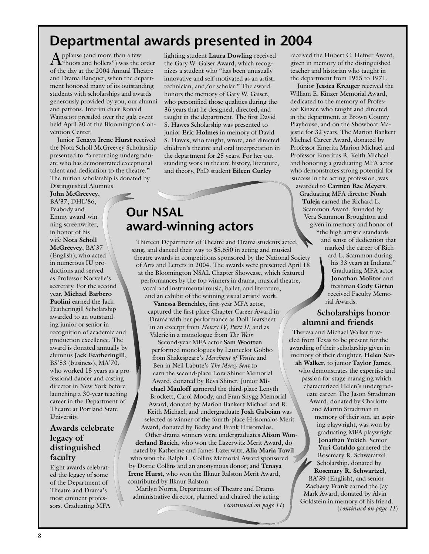## **Departmental awards presented in 2004**

Applause (and more than a few "hoots and hollers") was the order of the day at the 2004 Annual Theatre and Drama Banquet, when the department honored many of its outstanding students with scholarships and awards generously provided by you, our alumni and patrons. Interim chair Ronald Wainscott presided over the gala event held April 30 at the Bloomington Convention Center.

Junior **Tenaya Irene Hurst** received the Nota Scholl McGreevey Scholarship presented to "a returning undergraduate who has demonstrated exceptional talent and dedication to the theatre." The tuition scholarship is donated by Distinguished Alumnus

**John McGreevey**, BA'37, DHL'86, Peabody and Emmy award-winning screenwriter, in honor of his wife **Nota Scholl McGreevey**, BA'37 (English), who acted in numerous IU productions and served as Professor Norvelle's secretary. For the second year, **Michael Barbero Paolini** earned the Jack Featheringill Scholarship awarded to an outstanding junior or senior in recognition of academic and production excellence. The award is donated annually by alumnus **Jack Featheringill**, BS'53 (business), MA'70, who worked 15 years as a professional dancer and casting director in New York before launching a 30-year teaching career in the Department of Theatre at Portland State University.

#### **Awards celebrate legacy of distinguished faculty**

Eight awards celebrated the legacy of some of the Department of Theatre and Drama's most eminent professors. Graduating MFA lighting student **Laura Dowling** received the Gary W. Gaiser Award, which recognizes a student who "has been unusually innovative and self-motivated as an artist, technician, and/or scholar." The award honors the memory of Gary W. Gaiser, who personified those qualities during the 36 years that he designed, directed, and taught in the department. The first David S. Hawes Scholarship was presented to junior **Eric Holmes** in memory of David S. Hawes, who taught, wrote, and directed children's theatre and oral interpretation in the department for 25 years. For her outstanding work in theatre history, literature, and theory, PhD student **Eileen Curley**



Thirteen Department of Theatre and Drama students acted, sang, and danced their way to \$5,650 in acting and musical theatre awards in competitions sponsored by the National Society of Arts and Letters in 2004. The awards were presented April 18 at the Bloomington NSAL Chapter Showcase, which featured performances by the top winners in drama, musical theatre, vocal and instrumental music, ballet, and literature, and an exhibit of the winning visual artists' work.

**Vanessa Brenchley,** first-year MFA actor, captured the first-place Chapter Career Award in Drama with her performance as Doll Tearsheet in an excerpt from *Henry IV, Part II*, and as Valerie in a monologue from *The Weir.*

Second-year MFA actor **Sam Wootten** performed monologues by Launcelot Gobbo from Shakespeare's *Merchant of Venice* and Ben in Neil Labute's *The Mercy Seat* to earn the second-place Lora Shiner Memorial Award, donated by Reva Shiner. Junior **Michael Mauloff** garnered the third-place Lenyth Brockett, Carol Moody, and Fran Snygg Memorial Award, donated by Marion Bankert Michael and R. Keith Michael; and undergraduate **Josh Gaboian** was selected as winner of the fourth-place Hrisomalos Merit Award, donated by Becky and Frank Hrisomalos.

Other drama winners were undergraduates **Alison Wonderland Bacich**, who won the Lazerwitz Merit Award, donated by Katherine and James Lazerwitz; **Alia Maria Tawil** who won the Ralph L. Collins Memorial Award sponsored  $\lesssim$ by Dottie Collins and an anonymous donor; and **Tenaya Irene Hurst**, who won the Ilknur Ralston Merit Award, contributed by Ilknur Ralston.

Marilyn Norris, Department of Theatre and Drama administrative director, planned and chaired the acting received the Hubert C. Hefner Award, given in memory of the distinguished teacher and historian who taught in the department from 1955 to 1971.

Junior **Jessica Kreuger** received the William E. Kinzer Memorial Award, dedicated to the memory of Professor Kinzer, who taught and directed in the department, at Brown County Playhouse, and on the Showboat Majestic for 32 years. The Marion Bankert Michael Career Award, donated by Professor Emerita Marion Michael and Professor Emeritus R. Keith Michael and honoring a graduating MFA actor who demonstrates strong potential for success in the acting profession, was awarded to **Carmen Rae Meyers**. Graduating MFA director **Noah Tuleja** earned the Richard L. Scammon Award, founded by Vera Scammon Broughton and given in memory and honor of "the high artistic standards and sense of dedication that marked the career of Rich-

> ard L. Scammon during his 33 years at Indiana." Graduating MFA actor **Jonathan Molitor** and freshman **Cody Girten** received Faculty Memorial Awards.

#### **Scholarships honor alumni and friends**

Theresa and Michael Walker traveled from Texas to be present for the awarding of their scholarship given in memory of their daughter, **Helen Sarah Walker**, to junior **Taylor James**, who demonstrates the expertise and passion for stage managing which characterized Helen's undergraduate career. The Jason Stradtman Award, donated by Charlotte and Martin Stradtman in memory of their son, an aspiring playwright, was won by graduating MFA playwright **Jonathan Yukich**. Senior **Yuri Cataldo** garnered the Rosemary R. Schwaratzel Scholarship, donated by **Rosemary R. Schwartzel**, BA'39 (English), and senior **Zachary Frank** earned the Jay Mark Award, donated by Alvin Goldstein in memory of his friend. (*continued on page 11*) (*continued on page 11*)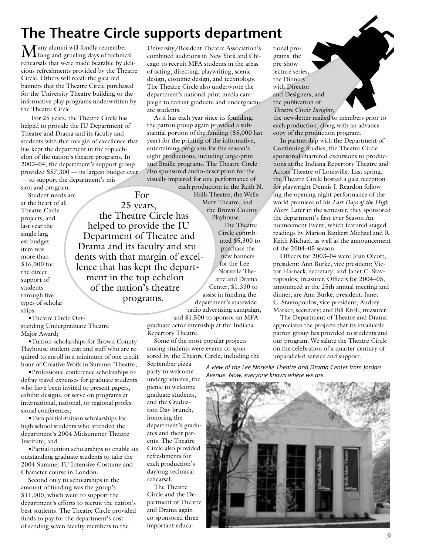## **The Theatre Circle supports department**

For 25 years, the Theatre Circle has helped to provide the IU Department of Theatre and

ment in the top echelon of the nation's theatre programs.

 $\mathbf M$ any alumni will fondly remember long and grueling days of technical rehearsals that were made bearable by delicious refreshments provided by the Theatre Circle. Others will recall the gala red banners that the Theatre Circle purchased for the University Theatre building or the informative play programs underwritten by the Theatre Circle.

 For 25 years, the Theatre Circle has helped to provide the IU Department of Theatre and Drama and its faculty and students with that margin of excellence that has kept the department in the top echelon of the nation's theatre programs. In 2003–04, the department's support group provided \$57,300 — its largest budget ever — to support the department's mission and program.

Student needs are at the heart of all Theatre Circle projects, and last year the single largest budget item was more than \$16,000 for the direct support of students through five types of scholarships:

•Theatre Circle Outstanding Undergraduate Theatre Major Award;

•Tuition scholarships for Brown County Playhouse student cast and staff who are required to enroll in a minimum of one credit hour of Creative Work in Summer Theatre;

•Professional conference scholarships to defray travel expenses for graduate students who have been invited to present papers, exhibit designs, or serve on programs at international, national, or regional professional conferences;

•Two partial-tuition scholarships for high school students who attended the department's 2004 Midsummer Theatre Institute; and

•Partial-tuition scholarships to enable six outstanding graduate students to take the 2004 Summer IU Intensive Costume and Character course in London.

Second only to scholarships in the amount of funding was the group's \$11,000, which went to support the department's efforts to recruit the nation's best students. The Theatre Circle provided funds to pay for the department's cost of sending seven faculty members to the

University/Resident Theatre Association's combined auditions in New York and Chicago to recruit MFA students in the areas of acting, directing, playwriting, scenic design, costume design, and technology. The Theatre Circle also underwrote the department's national print media campaign to recruit graduate and undergraduate students.

As it has each year since its founding, the patron group again provided a substantial portion of the funding (\$5,000 last year) for the printing of the informative, entertaining programs for the season's eight productions, including large-print and Braille programs. The Theatre Circle also sponsored audio-description for the visually impaired for one performance of

each production in the Ruth N. Halls Theatre, the Wells-Metz Theatre, and the Brown County Playhouse.

> The Theatre Circle contributed \$5,300 to purchase the new banners for the Lee Norvelle Theatre and Drama Center, \$1,330 to assist in funding the department's statewide radio advertising campaign,

and \$1,500 to sponsor an MFA graduate actor internship at the Indiana Repertory Theatre.

Some of the most popular projects among students were events co-sponsored by the Theatre Circle, including the

September pizza party to welcome undergraduates, the picnic to welcome graduate students, and the Graduation Day brunch, honoring the department's graduates and their parents. The Theatre Circle also provided refreshments for each production's daylong technical rehearsal.

The Theatre Circle and the Department of Theatre and Drama again co-sponsored three important educational programs: the pre-show lecture series the Dinners with Director and Designers, and the publication of *Theatre Circle Insights,*  the newsletter mailed to  $\mathbf{h}$  embed prior to each production*,* along with an advance copy of the production program.

In partnership with the Department of Continuing Studies, the Theatre Circle sponsored chartered excursions to productions at the Indiana Repertory Theatre and Actors Theatre of Louisville. Last spring, the Theatre Circle hosted a gala reception for playwright Dennis J. Reardon following the opening night performance of the world premiere of his *Last Days of the High Fliers*. Later in the semester, they sponsored the department's first-ever Season Announcement Event, which featured staged readings by Marion Bankert Michael and R. Keith Michael, as well as the announcement of the 2004–05 season.

Officers for 2003–04 were Joan Olcott, president; Ann Burke, vice president; Victor Harnack, secretary; and Janet C. Stavropoulos, treasurer. Officers for 2004–05, announced at the 25th annual meeting and dinner, are Ann Burke, president; Janet C. Stavropoulos, vice president; Audrey Marker, secretary; and Bill Kroll, treasurer.

The Department of Theatre and Drama appreciates the projects that its invaluable patron group has provided to students and our program. We salute the Theatre Circle on the celebration of a quarter-century of unparalleled service and support.

*A view of the Lee Norvelle Theatre and Drama Center from Jordan Avenue. Now, everyone knows where we are.*



Drama and its faculty and students with that margin of excellence that has kept the depart-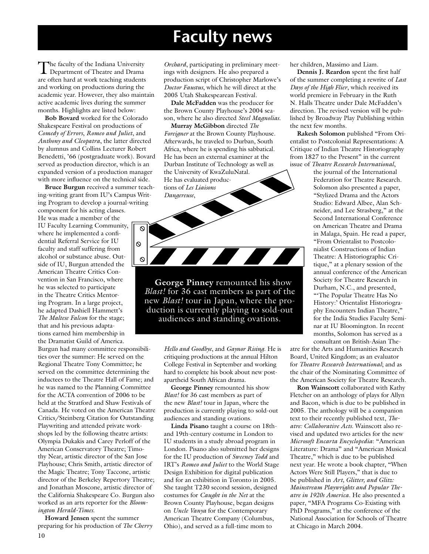## **Faculty news**

The faculty of the Indiana University Department of Theatre and Drama are often hard at work teaching students and working on productions during the academic year. However, they also maintain active academic lives during the summer months. Highlights are listed below:

**Bob Bovard** worked for the Colorado Shakespeare Festival on productions of *Comedy of Errors*, *Romeo and Juliet*, and *Anthony and Cleopatra*, the latter directed by alumnus and Collins Lecturer Robert Benedetti, '66 (postgraduate work). Bovard served as production director, which is an expanded version of a production manager with more influence on the technical side.

 $\circ$ 

 $\infty$ 

 $\circ$ 

**Bruce Burgun** received a summer teaching-writing grant from IU's Campus Writing Program to develop a journal-writing component for his acting classes. He was made a member of the IU Faculty Learning Community, where he implemented a confidential Referral Service for IU faculty and staff suffering from alcohol or substance abuse. Outside of IU, Burgun attended the American Theatre Critics Convention in San Francisco, where he was selected to participate in the Theatre Critics Mentoring Program. In a large project, he adapted Dashiell Hammett's *The Maltese Falcon* for the stage; that and his previous adaptations earned him membership in the Dramatist Guild of America*.*

Burgun had many committee responsibilities over the summer: He served on the Regional Theatre Tony Committee; he served on the committee determining the inductees to the Theatre Hall of Fame; and he was named to the Planning Committee for the ACTA convention of 2006 to be held at the Stratford and Shaw Festivals of Canada. He voted on the American Theatre Critics/Steinberg Citation for Outstanding Playwriting and attended private workshops led by the following theatre artists: Olympia Dukakis and Carey Perloff of the American Conservatory Theatre; Timothy Near, artistic director of the San Jose Playhouse; Chris Smith, artistic director of the Magic Theatre; Tony Taccone, artistic director of the Berkeley Repertory Theatre; and Jonathan Moscone, artistic director of the California Shakespeare Co. Burgun also worked as an arts reporter for the *Bloomington Herald-Times*.

10 **Howard Jensen** spent the summer preparing for his production of *The Cherry* 

*Orchard*, participating in preliminary meetings with designers. He also prepared a production script of Christopher Marlowe's *Doctor Faustus*, which he will direct at the 2005 Utah Shakespearean Festival.

**Dale McFadden** was the producer for the Brown County Playhouse's 2004 season, where he also directed *Steel Magnolias*.

**Murray McGibbon** directed *The Foreigner* at the Brown County Playhouse. Afterwards, he traveled to Durban, South Africa, where he is spending his sabbatical. He has been an external examiner at the Durban Institute of Technology as well as the University of KwaZuluNatal. He has evaluated productions of *Les Liaisons Dangereuse*,

**George Pinney** remounted his show *Blast!* for 36 cast members as part of the new *Blast!* tour in Japan, where the production is currently playing to sold-out audiences and standing ovations.

> *Hello and Goodbye*, and *Gaynor Rising*. He is critiquing productions at the annual Hilton College Festival in September and working hard to complete his book about new postapartheid South African drama.

**George Pinney** remounted his show *Blast!* for 36 cast members as part of the new *Blast!* tour in Japan, where the production is currently playing to sold-out audiences and standing ovations.

**Linda Pisano** taught a course on 18thand 19th-century costume in London to IU students in a study abroad program in London. Pisano also submitted her designs for the IU production of *Sweeney Todd* and IRT's *Romeo and Juliet* to the World Stage Design Exhibition for digital publication and for an exhibition in Toronto in 2005. She taught T230 second session, designed costumes for *Caught in the Net* at the Brown County Playhouse, began designs on *Uncle Vanya* for the Contemporary American Theatre Company (Columbus, Ohio), and served as a full-time mom to

her children, Massimo and Liam.

**Dennis J. Reardon** spent the first half of the summer completing a rewrite of *Last Days of the High Flier*, which received its world premiere in February in the Ruth N. Halls Theatre under Dale McFadden's direction. The revised version will be published by Broadway Play Publishing within the next few months.

**Rakesh Solomon** published "From Orientalist to Postcolonial Representations: A Critique of Indian Theatre Historiography from 1827 to the Present" in the current issue of *Theatre Research International*,

> the journal of the International Federation for Theatre Research. Solomon also presented a paper, "Stylized Drama and the Actors Studio: Edward Albee, Alan Schneider, and Lee Strasberg," at the Second International Conference on American Theatre and Drama in Malaga, Spain. He read a paper, "From Orientalist to Postcolonialist Constructions of Indian Theatre: A Historiographic Critique," at a plenary session of the annual conference of the American Society for Theatre Research in Durham, N.C., and presented, "'The Popular Theatre Has No History:' Orientalist Historiography Encounters Indian Theatre," for the India Studies Faculty Seminar at IU Bloomington. In recent months, Solomon has served as a consultant on British-Asian The-

atre for the Arts and Humanities Research Board, United Kingdom; as an evaluator for *Theatre Research International*; and as the chair of the Nominating Committee of the American Society for Theatre Research.

**Ron Wainscott** collaborated with Kathy Fletcher on an anthology of plays for Allyn and Bacon, which is due to be published in 2005. The anthology will be a companion text to their recently published text, *Theatre: Collaborative Acts*. Wainscott also revised and updated two articles for the new *Microsoft Encarta Encyclopedia*: "American Literature: Drama" and "American Musical Theatre," which is due to be published next year. He wrote a book chapter, "When Actors Were Still Players," that is due to be published in *Art, Glitter, and Glitz: Mainstream Playwrights and Popular Theatre in 1920s America*. He also presented a paper, "MFA Programs Co-Existing with PhD Programs," at the conference of the National Association for Schools of Theatre at Chicago in March 2004.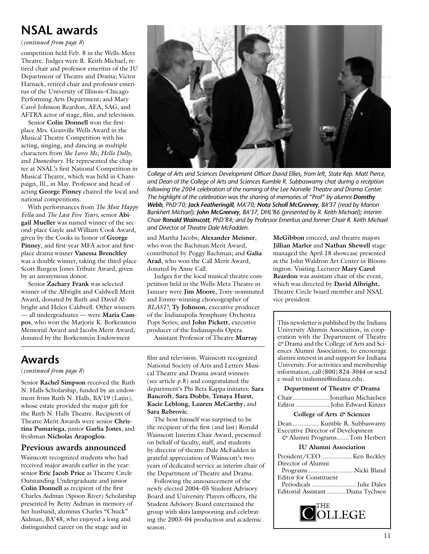### **NSAL awards**

(*continued from page 8*)

competition held Feb. 8 in the Wells-Metz Theatre. Judges were R. Keith Michael, retired chair and professor emeritus of the IU Department of Theatre and Drama; Victor Harnack, retired chair and professor emeritus of the University of Illinois–Chicago Performing Arts Department; and Mary Carol Johnson Reardon, AEA, SAG, and AFTRA actor of stage, film, and television.

Senior **Colin Donnell** won the firstplace Mrs. Granville Wells Award in the Musical Theatre Competition with his acting, singing, and dancing as multiple characters from *She Loves Me*, *Hello Dolly*, and *Doonesbury*. He represented the chapter at NSAL's first National Competition in Musical Theatre, which was held in Champaign, Ill., in May. Professor and head of acting **George Pinney** chaired the local and national competitions.

With performances from *The Most Happy Fella* and *The Last Five Years,* senior **Abigail Mueller** was named winner of the second-place Gayle and William Cook Award, given by the Cooks in honor of **George Pinney**, and first-year MFA actor and firstplace drama winner **Vanessa Brenchley** was a double winner, taking the third-place Scott Burgess Jones Tribute Award, given by an anonymous donor.

Senior **Zachary Frank** was selected winner of the Albright and Caldwell Merit Award, donated by Ruth and David Albright and Helen Caldwell. Other winners — all undergraduates — were **Maria Campos**, who won the Marjorie K. Borkenstein Memorial Award and Jacobs Merit Award, donated by the Borkenstein Endowment



*College of Arts and Sciences Development Officer David Ellies, from left, State Rep. Matt Pierce, and Dean of the College of Arts and Sciences Kumble R. Subbaswamy chat during a reception*  following the 2004 celebration of the naming of the Lee Norvelle Theatre and Drama Center. *The highlight of the celebration was the sharing of memories of "Prof" by alumni Dorothy Webb, PhD'70; Jack Featheringill, MA'70; Nota Scholl McGreevey, BA'37 (read by Marion Bankhert Michael); John McGreevey, BA'37, DHL'86 (presented by R. Keith Michael); interim Chair Ronald Wainscott, PhD'84; and by Professor Emeritus and former Chair R. Keith Michael and Director of Theatre Dale McFadden.*

and Martha Jacobs; **Alexander Meisner**, who won the Bachman Merit Award, contributed by Peggy Bachman; and **Galia Arad**, who won the Call Merit Award, donated by Anne Call.

Judges for the local musical theatre competition held in the Wells-Metz Theatre in January were **Jim Moore**, Tony-nominated and Emmy-winning choreographer of *BLAST!*; **Ty Johnson**, executive producer of the Indianapolis Symphony Orchestra Pops Series; and **John Pickett**, executive producer of the Indianapolis Opera. Assistant Professor of Theatre **Murray** 

## **Awards**

(*continued from page 8*)

Senior **Rachel Simpson** received the Ruth N. Halls Scholarship, funded by an endowment from Ruth N. Halls, BA'19 (Latin), whose estate provided the major gift for the Ruth N. Halls Theatre. Recipients of Theatre Merit Awards were senior **Christina Pumariega**, junior **Garlia Jones**, and freshman **Nicholas Arapoglou**.

#### **Previous awards announced**

Wainscott recognized students who had received major awards earlier in the year: senior **Eric Jacob Price** as Theatre Circle Outstanding Undergraduate and junior **Colin Donnell** as recipient of the first Charles Aidman (Spoon River) Scholarship presented by Betty Aidman in memory of her husband, alumnus Charles "Chuck" Aidman, BA'48, who enjoyed a long and distinguished career on the stage and in

film and television. Wainscott recognized National Society of Arts and Letters Musical Theatre and Drama award winners (see article p.8) and congratulated the department's Phi Beta Kappa initiates: **Sara Bancroft**, **Sara Dobbs**, **Tenaya Hurst**, **Kacie Leblong**, **Lauren McCarthy**, and **Sara Rebrovic**.

The host himself was surprised to be the recipient of the first (and last) Ronald Wainscott Interim Chair Award, presented on behalf of faculty, staff, and students by director of theatre Dale McFadden in grateful appreciation of Wainscott's two years of dedicated service as interim chair of the Department of Theatre and Drama.

Following the announcement of the newly elected 2004–05 Student Advisory Board and University Players officers, the Student Advisory Board entertained the group with skits lampooning and celebrating the 2003–04 production and academic season.

**McGibbon** emceed, and theatre majors **Jillian Marler** and **Nathan Shewell** stagemanaged the April 18 showcase presented at the John Waldron Art Center in Bloomington. Visiting Lecturer **Mary Carol Reardon** was assistant chair of the event, which was directed by **David Albright**, Theatre Circle board member and NSAL vice president.

This newsletter is published by the Indiana University Alumni Association, in cooperation with the Department of Theatre *&* Drama and the College of Arts and Sciences Alumni Association, to encourage alumni interest in and support for Indiana University. For activities and membership information, call (800) 824-3044 or send e-mail to iualumni@indiana.edu.

#### **Department of Theatre** *&* **Drama**

| Department of Theatre C Drama                                                                          |  |  |  |  |
|--------------------------------------------------------------------------------------------------------|--|--|--|--|
| ChairJonathan Michaelsen<br>Editor  John Edward Kinzer                                                 |  |  |  |  |
| College of Arts $\mathcal O$ Sciences                                                                  |  |  |  |  |
| Dean  Kumble R. Subbaswamy<br><b>Executive Director of Development</b><br>& Alumni ProgramsTom Herbert |  |  |  |  |
| <b>IU Alumni Association</b>                                                                           |  |  |  |  |
|                                                                                                        |  |  |  |  |
| Director of Alumni                                                                                     |  |  |  |  |
| Programs  Nicki Bland                                                                                  |  |  |  |  |
| <b>Editor for Constituent</b>                                                                          |  |  |  |  |
|                                                                                                        |  |  |  |  |
| Editorial AssistantDiana Tychsen                                                                       |  |  |  |  |
| <b>COLLEGE</b>                                                                                         |  |  |  |  |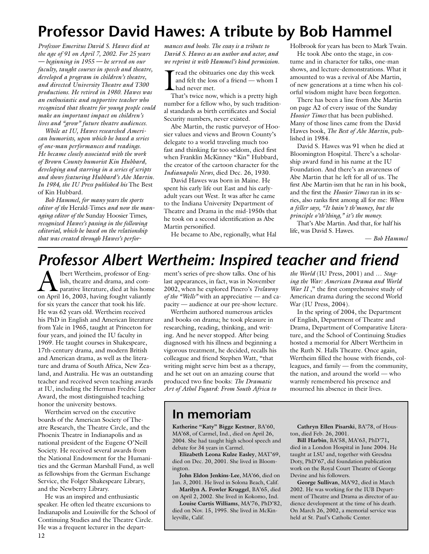# **Professor David Hawes: A tribute by Bob Hammel**

*Professor Emeritus David S. Hawes died at the age of 91 on April 7, 2002. For 25 years — beginning in 1955 — he served on our faculty, taught courses in speech and theatre, developed a program in children's theatre, and directed University Theatre and T300 productions. He retired in 1980. Hawes was an enthusiastic and supportive teacher who recognized that theatre for young people could make an important impact on children's lives and "grow" future theatre audiences.*

*While at IU, Hawes researched American humorists, upon which he based a series of one-man performances and readings. He became closely associated with the work of Brown County humorist Kin Hubbard, developing and starring in a series of scripts and shows featuring Hubbard's Abe Martin. In 1984, the IU Press published his* The Best of Kin Hubbard*.*

*Bob Hammel, for many years the sports editor of the* Herald-Times *and now the managing editor of the* Sunday Hoosier Times*, recognized Hawes's passing in the following editorial, which he based on the relationship that was created through Hawes's perfor-* *mances and books. The essay is a tribute to David S. Hawes as an author and actor, and we reprint it with Hammel's kind permission.*

read the obituaries one day this week and felt the loss of a friend — whom I had never met.

That's twice now, which is a pretty high number for a fellow who, by such traditional standards as birth certificates and Social Security numbers, never existed.

Abe Martin, the rustic purveyor of Hoosier values and views and Brown County's delegate to a world traveling much too fast and thinking far too seldom, died first when Franklin McKinney "Kin" Hubbard, the creator of the cartoon character for the *Indianapolis News*, died Dec. 26, 1930.

David Hawes was born in Maine. He spent his early life out East and his earlyadult years out West. It was after he came to the Indiana University Department of Theatre and Drama in the mid-1950s that he took on a second identification as Abe Martin personified.

He became to Abe, regionally, what Hal

Holbrook for years has been to Mark Twain. He took Abe onto the stage, in costume and in character for talks, one-man

shows, and lecture-demonstrations. What it amounted to was a revival of Abe Martin, of new generations at a time when his colorful wisdom might have been forgotten.

There has been a line from Abe Martin on page A2 of every issue of the Sunday *Hoosier Times* that has been published. Many of those lines came from the David Hawes book, *The Best of Abe Martin*, published in 1984.

David S. Hawes was 91 when he died at Bloomington Hospital. There's a scholarship award fund in his name at the IU Foundation. And there's an awareness of Abe Martin that he left for all of us. The first Abe Martin-ism that he ran in his book, and the first the *Hoosier Times* ran in its series, also ranks first among all for me: *When a feller says, "It hain't th'money, but the principle o'th'thing," it's the money.*

That's Abe Martin. And that, for half his life, was David S. Hawes.

— *Bob Hammel*

## *Professor Albert Wertheim: Inspired teacher and friend*

Albert Wertheim, professor of Eng-<br>lish, theatre and drama, and com-<br>parative literature, died at his home lish, theatre and drama, and comon April 16, 2003, having fought valiantly for six years the cancer that took his life. He was 62 years old. Wertheim received his PhD in English and American literature from Yale in 1965, taught at Princeton for four years, and joined the IU faculty in 1969. He taught courses in Shakespeare, 17th-century drama, and modern British and American drama, as well as the literature and drama of South Africa, New Zealand, and Australia. He was an outstanding teacher and received seven teaching awards at IU, including the Herman Fredric Lieber Award, the most distinguished teaching honor the university bestows.

Wertheim served on the executive boards of the American Society of Theatre Research, the Theatre Circle, and the Phoenix Theatre in Indianapolis and as national president of the Eugene O'Neill Society. He received several awards from the National Endowment for the Humanities and the German Marshall Fund, as well as fellowships from the German Exchange Service, the Folger Shakespeare Library, and the Newberry Library.

He was an inspired and enthusiastic speaker. He often led theatre excursions to Indianapolis and Louisville for the School of Continuing Studies and the Theatre Circle. He was a frequent lecturer in the depart-

ment's series of pre-show talks. One of his last appearances, in fact, was in November 2002, when he explored Pinero's *Trelawny of the "Wells"* with an appreciative — and capacity — audience at our pre-show lecture.

Wertheim authored numerous articles and books on drama; he took pleasure in researching, reading, thinking, and writing. And he never stopped. After being diagnosed with his illness and beginning a vigorous treatment, he decided, recalls his colleague and friend Stephen Watt, "that writing might serve him best as a therapy, and he set out on an amazing course that produced two fine books: *The Dramatic Art of Athol Fugard: From South Africa to* 

*the World* (IU Press, 2001) and … *Staging the War: American Drama and World*  War II," the first comprehensive study of American drama during the second World War (IU Press, 2004).

In the spring of 2004, the Department of English, Department of Theatre and Drama, Department of Comparative Literature, and the School of Continuing Studies hosted a memorial for Albert Wertheim in the Ruth N. Halls Theatre. Once again, Wertheim filled the house with friends, colleagues, and family — from the community, the nation, and around the world — who warmly remembered his presence and mourned his absence in their lives.

### **In memoriam**

**Katherine "Katy" Bigge Kestner**, BA'60, MA'68, of Carmel, Ind., died on April 26, 2004. She had taught high school speech and debate for 34 years in Carmel.

**Elizabeth Leona Kulze Easley**, MAT'69, died on Dec. 20, 2001. She lived in Bloomington.

**John Eldon Jenkins-Lee**, MA'66, died on Jan. 3, 2001. He lived in Solona Beach, Calif.

**Marilyn A. Fowler Kruggel**, BA'65, died on April 2, 2002. She lived in Kokomo, Ind.

**Louise Curtis Williams**, MA'76, PhD'82, died on Nov. 15, 1995. She lived in McKinleyville, Calif.

**Cathryn Ellen Pisarski**, BA'78, of Houston, died Feb. 26, 2001.

**Bill Harbin**, BA'58, MA'63, PhD'71**,** died in a London Hospital in June 2004. He taught at LSU and, together with Gresdna Doty, PhD'67, did foundation publication work on the Royal Court Theatre of George Devine and his followers.

**George Sullivan**, MA'92, died in March 2002. He was working for the IUB Department of Theatre and Drama as director of audience development at the time of his death. On March 26, 2002, a memorial service was held at St. Paul's Catholic Center.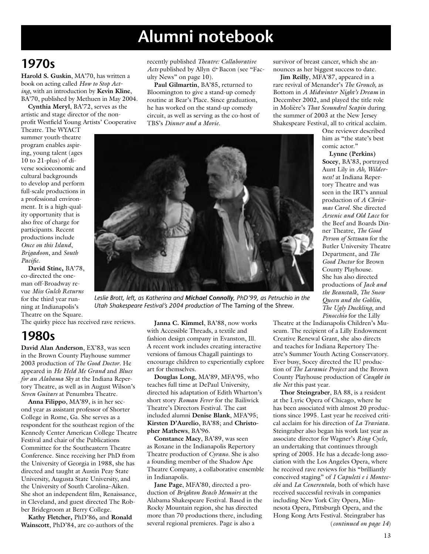# **Alumni notebook**

## **1970s**

**Harold S. Guskin**, MA'70, has written a book on acting called *How to Stop Acting*, with an introduction by **Kevin Kline**, BA'70, published by Methuen in May 2004.

**Cynthia Meryl**, BA'72, serves as the artistic and stage director of the nonprofit Westfield Young Artists' Cooperative

Theatre. The WYACT summer youth-theatre program enables aspiring, young talent (ages 10 to 21-plus) of diverse socioeconomic and cultural backgrounds to develop and perform full-scale productions in a professional environment. It is a high-quality opportunity that is also free of charge for participants. Recent productions include *Once on this Island*, *Brigadoon*, and *South Pacific*.

**David Stine,** BA'78, co-directed the oneman off-Broadway revue *Miss Gulch Returns*  for the third year running at Indianapolis's Theatre on the Square.

recently published *Theatre: Collaborative Acts* published by Allyn *&* Bacon (see "Faculty News" on page 10).

**Paul Gilmartin**, BA'85, returned to Bloomington to give a stand-up comedy routine at Bear's Place. Since graduation, he has worked on the stand-up comedy circuit, as well as serving as the co-host of TBS's *Dinner and a Movie*.

survivor of breast cancer, which she announces as her biggest success to date.

**Jim Reilly**, MFA'87, appeared in a rare revival of Menander's *The Grouch,* as Bottom in *A Midwinter Night's Dream* in December 2002, and played the title role in Molière's *That Scoundrel Scapin* during the summer of 2003 at the New Jersey Shakespeare Festival, all to critical acclaim.

One reviewer described him as "the state's best comic actor."

**Lynne (Perkins) Socey**, BA'83, portrayed Aunt Lily in *Ah, Wilderness!* at Indiana Repertory Theatre and was seen in the IRT's annual production of *A Christmas Carol*. She directed *Arsenic and Old Lace* for the Beef and Boards Dinner Theatre, *The Good Person of Setzuan* for the Butler University Theatre Department, and *The Good Doctor* for Brown County Playhouse. She has also directed productions of *Jack and the Beanstalk*, *The Snow Queen and the Goblin*, *The Ugly Duckling*, and *Pinocchio* for the Lilly



*Leslie Brott, left, as Katherina and Michael Connolly, PhD'99, as Petruchio in the Utah Shakespeare Festival's 2004 production of* The Taming of the Shrew*.*

The quirky piece has received rave reviews.

## **1980s**

**David Alan Anderson**, EX'83, was seen in the Brown County Playhouse summer 2003 production of *The Good Doctor*. He appeared in *He Held Me Grand* and *Blues for an Alabama Sky* at the Indiana Repertory Theatre, as well as in August Wilson's *Seven Guitars* at Penumbra Theatre.

**Anna Filippo**, MA'89, is in her second year as assistant professor of Shorter College in Rome, Ga. She serves as a respondent for the southeast region of the Kennedy Center American College Theatre Festival and chair of the Publications Committee for the Southeastern Theatre Conference. Since receiving her PhD from the University of Georgia in 1988, she has directed and taught at Austin Peay State University, Augusta State University, and the University of South Carolina–Aiken. She shot an independent film, Renaissance, in Cleveland, and guest directed The Robber Bridegroom at Berry College.

**Kathy Fletcher,** PhD'86**,** and **Ronald Wainscott**, PhD'84, are co-authors of the

**Janna C. Kimmel**, BA'88, now works with Accessible Threads, a textile and fashion design company in Evanston, Ill. A recent work includes creating interactive versions of famous Chagall paintings to encourage children to experientially explore art for themselves.

**Douglas Long**, MA'89, MFA'95, who teaches full time at DePaul University, directed his adaptation of Edith Wharton's short story *Roman Fever* for the Bailiwick Theatre's Directors Festival. The cast included alumni **Denise Blank**, MFA'95; **Kirsten D'Aurelio**, BA'88; and **Christopher Mathews**, BA'96.

**Constance Macy**, BA'89, was seen as Roxane in the Indianapolis Repertory Theatre production of *Cyrano*. She is also a founding member of the Shadow Ape Theatre Company, a collaborative ensemble in Indianapolis.

**Jane Page**, MFA'80, directed a production of *Brighton Beach Memoirs* at the Alabama Shakespeare Festival. Based in the Rocky Mountain region, she has directed more than 70 productions there, including several regional premieres. Page is also a

Theatre at the Indianapolis Children's Museum. The recipient of a Lilly Endowment Creative Renewal Grant, she also directs and teaches for Indiana Repertory Theatre's Summer Youth Acting Conservatory. Ever busy, Socey directed the IU production of *The Laramie Project* and the Brown County Playhouse production of *Caught in the Net* this past year.

**Thor Steingraber**, BA 88, is a resident at the Lyric Opera of Chicago, where he has been associated with almost 20 productions since 1995. Last year he received critical acclaim for his direction of *La Traviata.* Steingraber also began his work last year as associate director for Wagner's *Ring Cycle*, an undertaking that continues through spring of 2005. He has a decade-long association with the Los Angeles Opera, where he received rave reviews for his "brilliantly conceived staging" of *I Capuleti e i Montecchi* and *La Cenerentola,* both of which have received successful revivals in companies including New York City Opera, Minnesota Opera, Pittsburgh Opera, and the Hong Kong Arts Festival. Steingraber has (*continued on page 14*)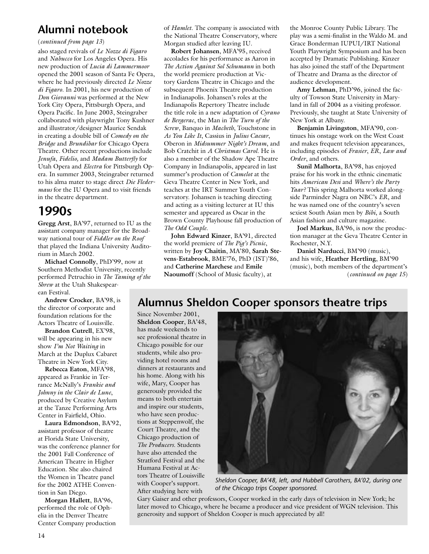### **Alumni notebook**

#### (*continued from page 13*)

also staged revivals of *Le Nozze di Figaro* and *Nabucco* for Los Angeles Opera. His new production of *Lucia di Lammermoor* opened the 2001 season of Santa Fe Opera, where he had previously directed *Le Nozze di Figaro*. In 2001, his new production of *Don Giovanni* was performed at the New York City Opera, Pittsburgh Opera, and Opera Pacific. In June 2003, Steingraber collaborated with playwright Tony Kushner and illustrator/designer Maurice Sendak in creating a double bill of *Comedy on the Bridge* and *Brundibar* for Chicago Opera Theatre. Other recent productions include *Jenufa*, *Fidelio,* and *Madam Butterfly* for Utah Opera and *Electra* for Pittsburgh Opera. In summer 2003, Steingraber returned to his alma mater to stage direct *Die Fledermaus* for the IU Opera and to visit friends in the theatre department.

## **1990s**

**Gregg Arst**, BA'97, returned to IU as the assistant company manager for the Broadway national tour of *Fiddler on the Roof* that played the Indiana University Auditorium in March 2002.

**Michael Connolly**, PhD'99, now at Southern Methodist University, recently performed Petruchio in *The Taming of the Shrew* at the Utah Shakespearean Festival.

**Andrew Crocker**, BA'98, is the director of corporate and foundation relations for the Actors Theatre of Louisville.

**Brandon Cutrell**, EX'98, will be appearing in his new show *I'm Not Waiting* in March at the Duplux Cabaret Theatre in New York City.

**Rebecca Eaton**, MFA'98, appeared as Frankie in Terrance McNally's *Frankie and Johnny in the Clair de Lune*, produced by Creative Asylum at the Tanze Performing Arts Center in Fairfield, Ohio.

**Laura Edmondson**, BA'92, assistant professor of theatre at Florida State University, was the conference planner for the 2001 Fall Conference of American Theatre in Higher Education. She also chaired the Women in Theatre panel for the 2002 ATHE Convention in San Diego.

**Morgan Hallett**, BA'96, performed the role of Ophelia in the Denver Theatre Center Company production of *Hamlet*. The company is associated with the National Theatre Conservatory, where Morgan studied after leaving IU.

**Robert Johansen**, MFA'95, received accolades for his performance as Aaron in *The Action Against Sol Schumann* in both the world premiere production at Victory Gardens Theatre in Chicago and the subsequent Phoenix Theatre production in Indianapolis*.* Johansen's roles at the Indianapolis Repertory Theatre include the title role in a new adaptation of *Cyrano de Bergerac*, the Man in *The Turn of the Screw*, Banquo in *Macbeth*, Touchstone in *As You Like It*, Cassius in *Julius Caesar*, Oberon in *Midsummer Night's Dream*, and Bob Cratchit in *A Christmas Carol*. He is also a member of the Shadow Ape Theatre Company in Indianapolis, appeared in last summer's production of *Camelot* at the Geva Theatre Center in New York, and teaches at the IRT Summer Youth Conservatory. Johansen is teaching directing and acting as a visiting lecturer at IU this semester and appeared as Oscar in the Brown County Playhouse fall production of *The Odd Couple*.

**John Edward Kinzer**, BA'91*,* directed the world premiere of *The Pig's Picnic*, written by **Joy Chaitin**, MA'80, **Sarah Stevens-Estabrook**, BME'76, PhD (IST)'86, and **Catherine Marchese** and **Emile Naoumoff** (School of Music faculty), at

the Monroe County Public Library. The play was a semi-finalist in the Waldo M. and Grace Bonderman IUPUI/IRT National Youth Playwright Symposium and has been accepted by Dramatic Publishing. Kinzer has also joined the staff of the Department of Theatre and Drama as the director of audience development.

**Amy Lehman**, PhD'96, joined the faculty of Towson State University in Maryland in fall of 2004 as a visiting professor. Previously, she taught at State University of New York at Albany.

**Benjamin Livingston**, MFA'90, continues his onstage work on the West Coast and makes frequent television appearances, including episodes of *Frasier*, *ER*, *Law and Order*, and others.

**Sunil Malhorta**, BA'98, has enjoyed praise for his work in the ethnic cinematic hits *American Desi* and *Where's the Party Yaar?* This spring Malhorta worked alongside Parminder Nagra on NBC's *ER*, and he was named one of the country's seven sexiest South Asian men by *Bibi*, a South Asian fashion and culture magazine.

**Joel Markus**, BA'96, is now the production manager at the Geva Theatre Center in Rochester, N.Y.

**Daniel Narducci**, BM'90 (music), and his wife, **Heather Hertling**, BM'90 (music), both members of the department's (*continued on page 15*)

### **Alumnus Sheldon Cooper sponsors theatre trips**

Since November 2001, **Sheldon Cooper**, BA'48, has made weekends to see professional theatre in Chicago possible for our students, while also providing hotel rooms and dinners at restaurants and his home. Along with his wife, Mary, Cooper has generously provided the means to both entertain and inspire our students, who have seen productions at Steppenwolf, the Court Theatre, and the Chicago production of *The Producers*. Students have also attended the Stratford Festival and the Humana Festival at Actors Theatre of Louisville with Cooper's support. After studying here with



*Sheldon Cooper, BA'48, left, and Hubbell Carothers, BA'02, during one of the Chicago trips Cooper sponsored.*

Gary Gaiser and other professors, Cooper worked in the early days of television in New York; he later moved to Chicago, where he became a producer and vice president of WGN television. This generosity and support of Sheldon Cooper is much appreciated by all!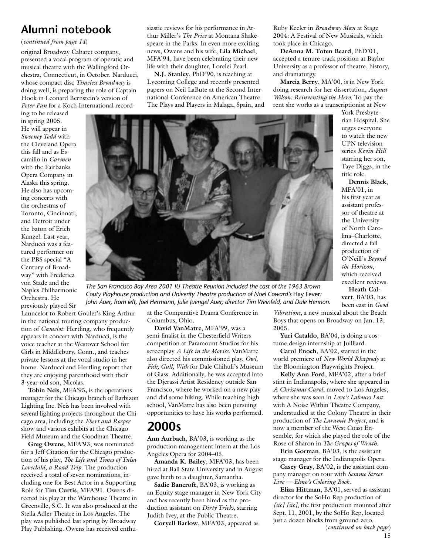#### (*continued from page 14*)

original Broadway Cabaret company, presented a vocal program of operatic and musical theatre with the Wallingford Orchestra, Connecticut, in October. Narducci, whose compact disc *Timeless Broadway* is doing well, is preparing the role of Captain Hook in Leonard Bernstein's version of *Peter Pan* for a Koch International record-

ing to be released in spring 2005. He will appear in *Sweeney Todd* with the Cleveland Opera this fall and as Escamillo in *Carmen* with the Fairbanks Opera Company in Alaska this spring. He also has upcoming concerts with the orchestras of Toronto, Cincinnati, and Detroit under the baton of Erich Kunzel. Last year, Narducci was a featured performer on the PBS special "A Century of Broadway" with Frederica von Stade and the Naples Philharmonic Orchestra. He previously played Sir

Launcelot to Robert Goulet's King Arthur in the national touring company production of *Camelot*. Hertling, who frequently appears in concert with Narducci, is the voice teacher at the Westover School for Girls in Middlebury, Conn., and teaches private lessons at the vocal studio in her home. Narducci and Hertling report that they are enjoying parenthood with their 3-year-old son, Nicolas.

**Tobin Neis**, MFA'95**,** is the operations manager for the Chicago branch of Barbizon Lighting Inc. Neis has been involved with several lighting projects throughout the Chicago area, including the *Ebert and Roeper* show and various exhibits at the Chicago Field Museum and the Goodman Theatre.

**Greg Owens**, MFA'93, was nominated for a Jeff Citation for the Chicago production of his play, *The Life and Times of Tulsa Lovechild, a Road Trip*. The production received a total of seven nominations, including one for Best Actor in a Supporting Role for **Tim Curtis**, MFA'91. Owens directed his play at the Warehouse Theatre in Greenville, S.C. It was also produced at the Stella Adler Theatre in Los Angeles. The play was published last spring by Broadway Play Publishing. Owens has received enthusiastic reviews for his performance in Arthur Miller's *The Price* at Montana Shakespeare in the Parks. In even more exciting news, Owens and his wife, **Lila Michael**, MFA'94, have been celebrating their new life with their daughter, Lorelei Pearl.

**N.J. Stanley**, PhD'90, is teaching at Lycoming College and recently presented papers on Neil LaBute at the Second International Conference on American Theatre: The Plays and Players in Malaga, Spain, and Ruby Keeler in *Broadway Man* at Stage 2004: A Festival of New Musicals, which took place in Chicago.

**DeAnna M. Toten Beard**, PhD'01, accepted a tenure-track position at Baylor University as a professor of theatre, history, and dramaturgy.

**Marcia Berry**, MA'00, is in New York doing research for her dissertation, *August Wilson: Reinventing the Hero*. To pay the rent she works as a transcriptionist at New

York Presbyterian Hospital. She urges everyone to watch the new UPN television series *Kevin Hill* starring her son, Taye Diggs, in the title role.

**Dennis Black**, MFA'01, in his first year as assistant professor of theatre at the University of North Carolina–Charlotte, directed a fall production of O'Neill's *Beyond the Horizon*, which received excellent reviews.

**Heath Calvert**, BA'03, has been cast in *Good* 

*The San Francisco Bay Area 2001 IU Theatre Reunion included the cast of the 1963 Brown Couty Playhouse production and Univerity Theatre production of Noel Coward's* Hay Fever*: John Auer, from left, Joel Hermann, Julie Juengel Auer, director Tim Weinfeld, and Dale Hennon.*

at the Comparative Drama Conference in Columbus, Ohio.

**David VanMatre**, MFA'99, was a semi-finalist in the Chesterfield Writers competition at Paramount Studios for his screenplay *A Life in the Movies*. VanMatre also directed his commissioned play, *Owl, Fish, Gull, Wish* for Dale Chihuli's Museum of Glass. Additionally, he was accepted into the Djerassi Artist Residency outside San Francisco, where he worked on a new play and did some hiking. While teaching high school, VanMatre has also been pursuing opportunities to have his works performed.

## **2000s**

**Ann Aurbach**, BA'03, is working as the production management intern at the Los Angeles Opera for 2004–05.

**Amanda K. Bailey**, MFA'03, has been hired at Ball State University and in August gave birth to a daughter, Samantha.

**Sadie Bancroft**, BA'03, is working as an Equity stage manager in New York City and has recently been hired as the production assistant on *Dirty Tricks,* starring Judith Ivey, at the Public Theatre.

**Coryell Barlow**, MFA'03, appeared as

*Vibrations*, a new musical about the Beach Boys that opens on Broadway on Jan. 13, 2005.

**Yuri Cataldo**, BA'04, is doing a costume design internship at Juilliard.

**Carol Enoch**, BA'02, starred in the world premiere of *New World Rhapsody* at the Bloomington Playwrights Project.

**Kelly Ann Ford**, MFA'02, after a brief stint in Indianapolis, where she appeared in *A Christmas Carol*, moved to Los Angeles, where she was seen in *Love's Labours Lost* with A Noise Within Theatre Company, understudied at the Colony Theatre in their production of *The Laramie Project*, and is now a member of the West Coast Ensemble, for which she played the role of the Rose of Sharon in *The Grapes of Wrath*.

**Erin Gorman**, BA'03, is the assistant stage manager for the Indianapolis Opera.

**Casey Gray**, BA'02, is the assistant company manager on tour with *Sesame Street Live — Elmo's Coloring Book.*

**Eliza Hittman**, BA'01, served as assistant director for the SoHo Rep production of *[sic] [sic]*, the first production mounted after Sept. 11, 2001, by the SoHo Rep, located just a dozen blocks from ground zero. (*continued on back page*)